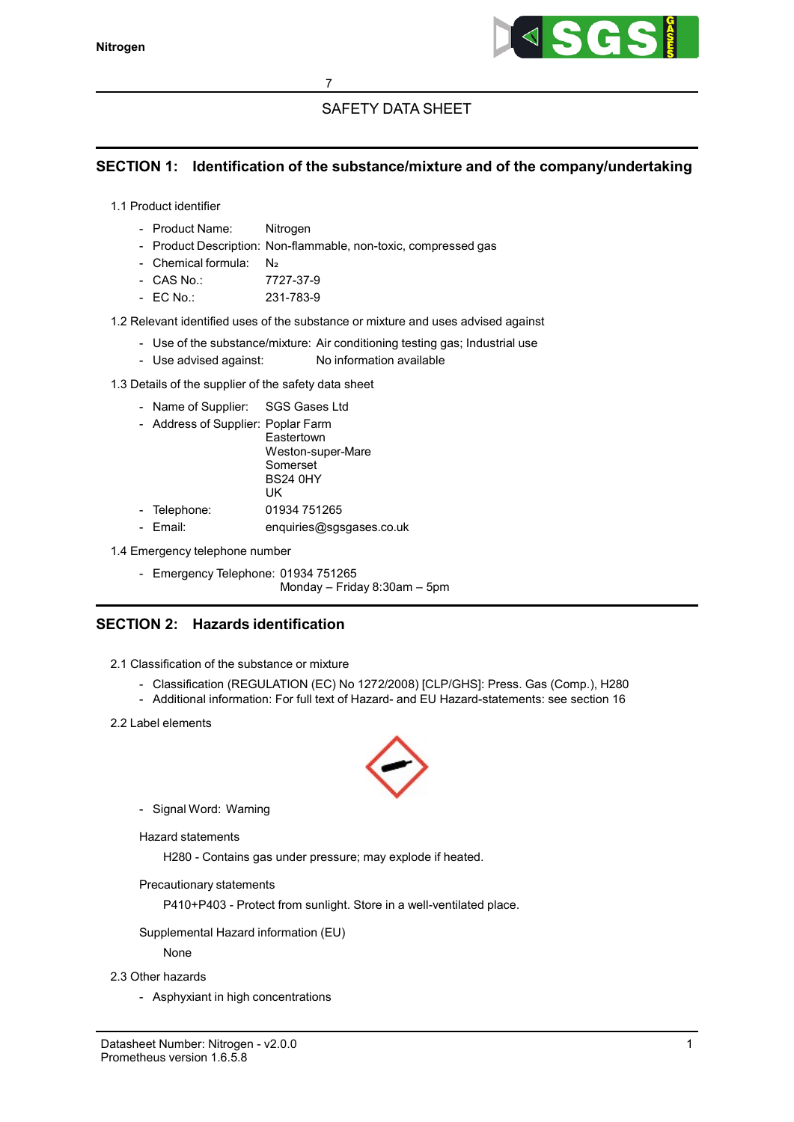

# SAFETY DATA SHEET

# SECTION 1: Identification of the substance/mixture and of the company/undertaking

1.1 Product identifier

- Product Name: Nitrogen
- Product Description: Non-flammable, non-toxic, compressed gas
- Chemical formula: N₂
- CAS No.: 7727-37-9
- EC No.: 231-783-9

1.2 Relevant identified uses of the substance or mixture and uses advised against

- Use of the substance/mixture: Air conditioning testing gas; Industrial use
- Use advised against: No information available

1.3 Details of the supplier of the safety data sheet

- Name of Supplier: SGS Gases Ltd
- Address of Supplier: Poplar Farm
- **Eastertown** Weston-super-Mare Somerset BS24 0HY UK - Telephone: 01934 751265
- Email: enquiries@sgsgases.co.uk
- 1.4 Emergency telephone number
	- Emergency Telephone: 01934 751265

Monday – Friday 8:30am – 5pm

## SECTION 2: Hazards identification

- 2.1 Classification of the substance or mixture
	- Classification (REGULATION (EC) No 1272/2008) [CLP/GHS]: Press. Gas (Comp.), H280
	- Additional information: For full text of Hazard- and EU Hazard-statements: see section 16
- 2.2 Label elements



- Signal Word: Warning

Hazard statements

H280 - Contains gas under pressure; may explode if heated.

Precautionary statements

P410+P403 - Protect from sunlight. Store in a well-ventilated place.

Supplemental Hazard information (EU)

None

2.3 Other hazards

- Asphyxiant in high concentrations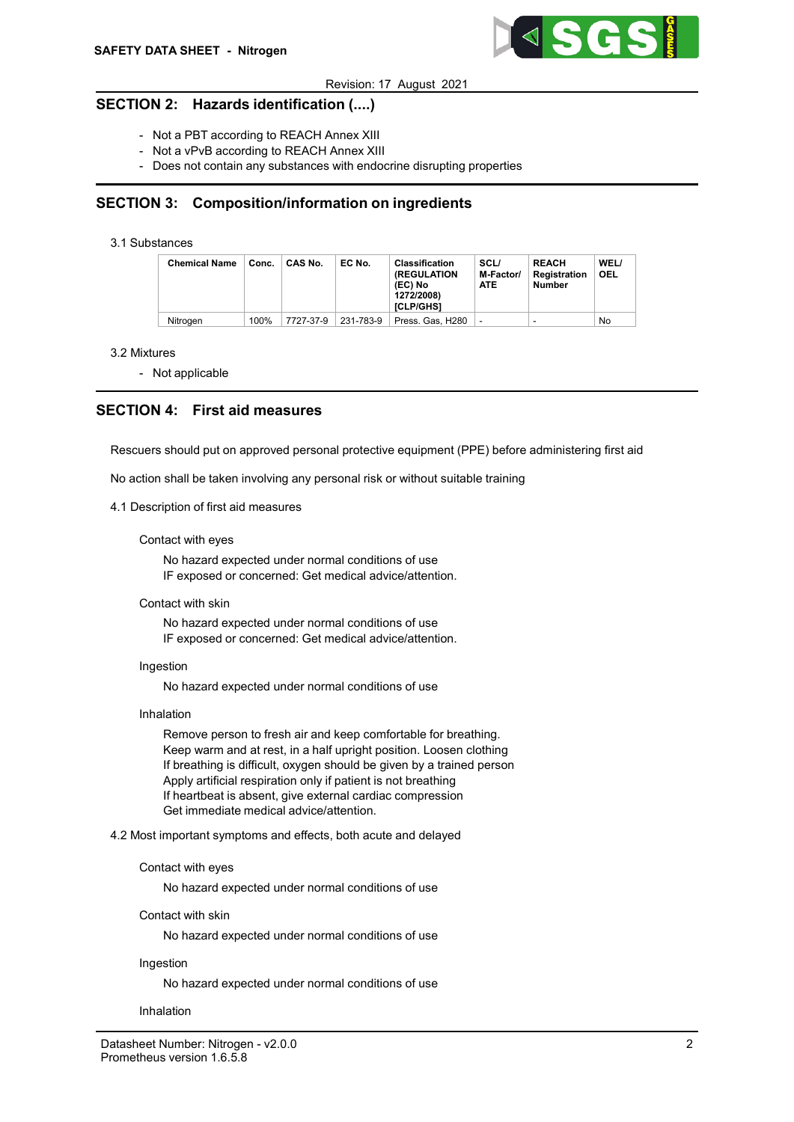

## SECTION 2: Hazards identification (....)

- Not a PBT according to REACH Annex XIII
- Not a vPvB according to REACH Annex XIII
- Does not contain any substances with endocrine disrupting properties

## SECTION 3: Composition/information on ingredients

### 3.1 Substances

| <b>Chemical Name</b> | Conc. | CAS No.   | EC No.    | <b>Classification</b><br><b>(REGULATION)</b><br>(EC) No<br>1272/2008)<br><b>ICLP/GHS1</b> | <b>SCL/</b><br>M-Factor/<br><b>ATE</b> | <b>REACH</b><br>Registration<br><b>Number</b> | WEL/<br><b>OEL</b> |
|----------------------|-------|-----------|-----------|-------------------------------------------------------------------------------------------|----------------------------------------|-----------------------------------------------|--------------------|
| Nitrogen             | 100%  | 7727-37-9 | 231-783-9 | Press, Gas, H280                                                                          |                                        | -                                             | No                 |

#### 3.2 Mixtures

- Not applicable

### SECTION 4: First aid measures

Rescuers should put on approved personal protective equipment (PPE) before administering first aid

No action shall be taken involving any personal risk or without suitable training

#### 4.1 Description of first aid measures

### Contact with eyes

No hazard expected under normal conditions of use IF exposed or concerned: Get medical advice/attention.

### Contact with skin

No hazard expected under normal conditions of use IF exposed or concerned: Get medical advice/attention.

### Ingestion

No hazard expected under normal conditions of use

### Inhalation

Remove person to fresh air and keep comfortable for breathing. Keep warm and at rest, in a half upright position. Loosen clothing If breathing is difficult, oxygen should be given by a trained person Apply artificial respiration only if patient is not breathing If heartbeat is absent, give external cardiac compression Get immediate medical advice/attention.

4.2 Most important symptoms and effects, both acute and delayed

### Contact with eyes

No hazard expected under normal conditions of use

### Contact with skin

No hazard expected under normal conditions of use

### Ingestion

No hazard expected under normal conditions of use

#### Inhalation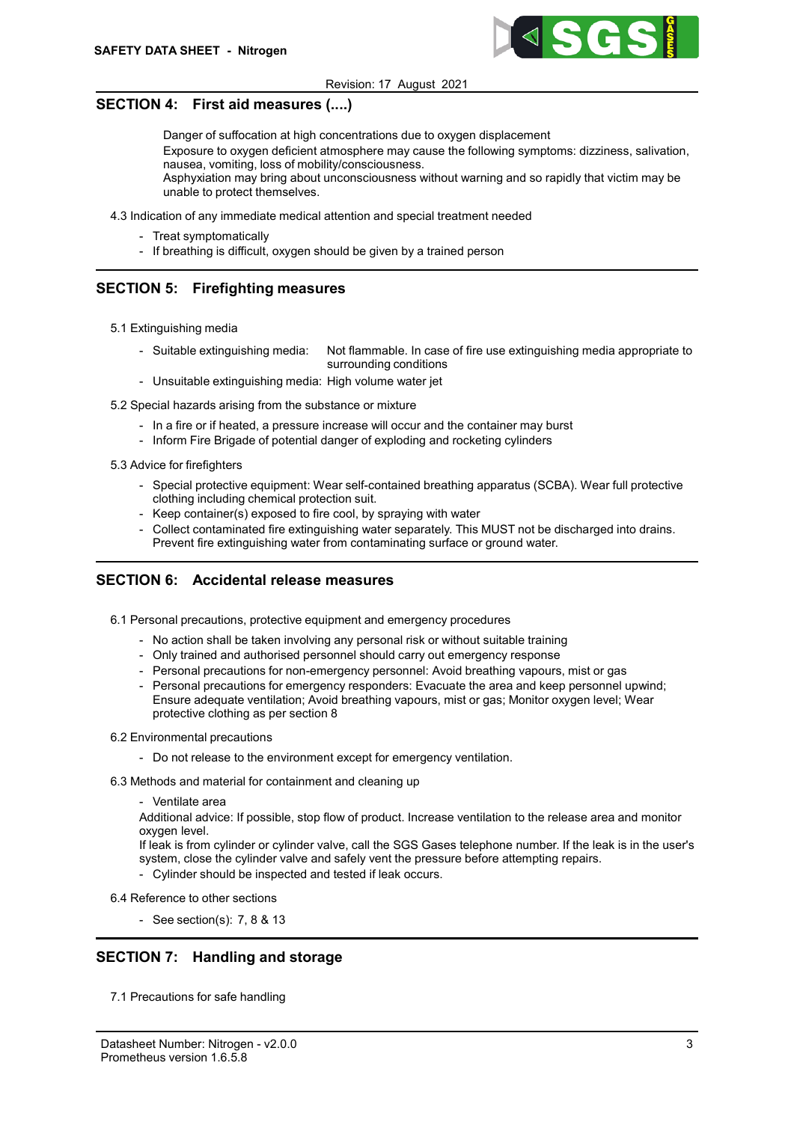

## SECTION 4: First aid measures (....)

Danger of suffocation at high concentrations due to oxygen displacement Exposure to oxygen deficient atmosphere may cause the following symptoms: dizziness, salivation, nausea, vomiting, loss of mobility/consciousness. Asphyxiation may bring about unconsciousness without warning and so rapidly that victim may be unable to protect themselves.

4.3 Indication of any immediate medical attention and special treatment needed

- Treat symptomatically
- If breathing is difficult, oxygen should be given by a trained person

## SECTION 5: Firefighting measures

- 5.1 Extinguishing media
	- Suitable extinguishing media: Not flammable. In case of fire use extinguishing media appropriate to surrounding conditions
	- Unsuitable extinguishing media: High volume water jet
- 5.2 Special hazards arising from the substance or mixture
	- In a fire or if heated, a pressure increase will occur and the container may burst
	- Inform Fire Brigade of potential danger of exploding and rocketing cylinders
- 5.3 Advice for firefighters
	- Special protective equipment: Wear self-contained breathing apparatus (SCBA). Wear full protective clothing including chemical protection suit.
	- Keep container(s) exposed to fire cool, by spraying with water
	- Collect contaminated fire extinguishing water separately. This MUST not be discharged into drains. Prevent fire extinguishing water from contaminating surface or ground water.

## SECTION 6: Accidental release measures

6.1 Personal precautions, protective equipment and emergency procedures

- No action shall be taken involving any personal risk or without suitable training
- Only trained and authorised personnel should carry out emergency response
- Personal precautions for non-emergency personnel: Avoid breathing vapours, mist or gas
- Personal precautions for emergency responders: Evacuate the area and keep personnel upwind; Ensure adequate ventilation; Avoid breathing vapours, mist or gas; Monitor oxygen level; Wear protective clothing as per section 8
- 6.2 Environmental precautions
	- Do not release to the environment except for emergency ventilation.
- 6.3 Methods and material for containment and cleaning up
	- Ventilate area

Additional advice: If possible, stop flow of product. Increase ventilation to the release area and monitor oxygen level.

If leak is from cylinder or cylinder valve, call the SGS Gases telephone number. If the leak is in the user's system, close the cylinder valve and safely vent the pressure before attempting repairs.

- Cylinder should be inspected and tested if leak occurs.
- 6.4 Reference to other sections
	- See section(s): 7, 8 & 13

## SECTION 7: Handling and storage

7.1 Precautions for safe handling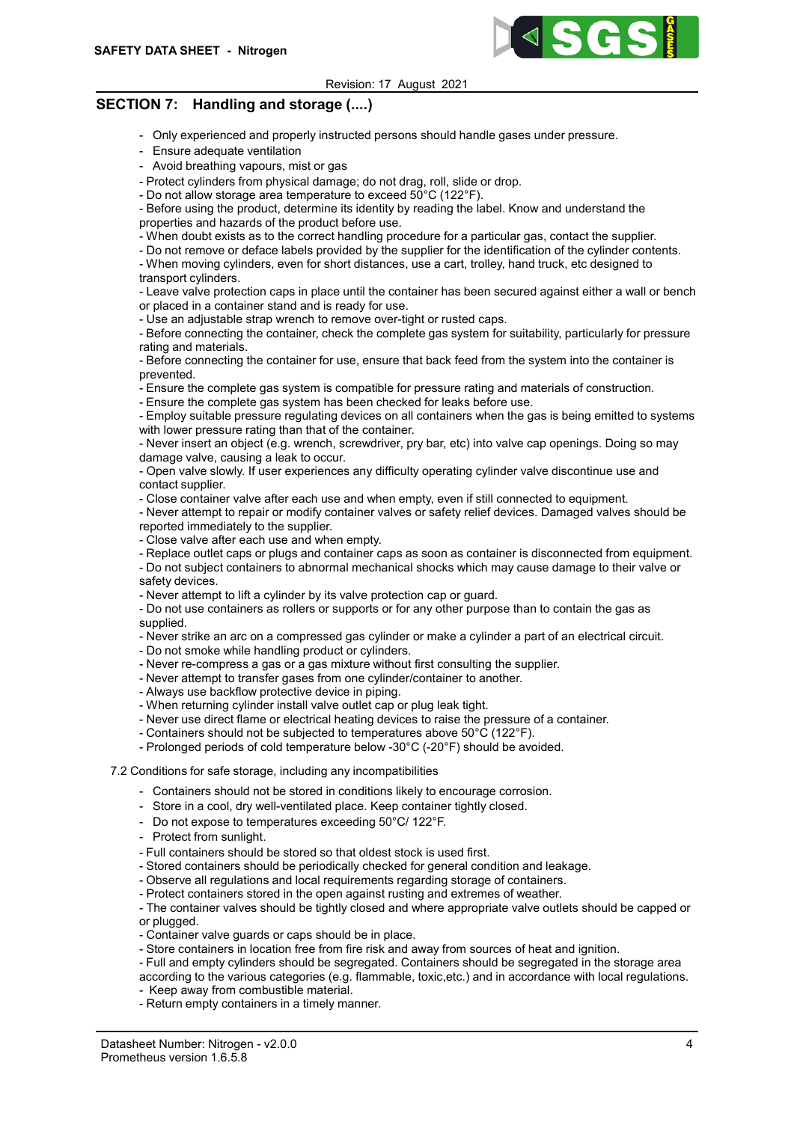

# SECTION 7: Handling and storage (....)

- Only experienced and properly instructed persons should handle gases under pressure.

- Ensure adequate ventilation
- Avoid breathing vapours, mist or gas
- Protect cylinders from physical damage; do not drag, roll, slide or drop.

- Do not allow storage area temperature to exceed 50°C (122°F).

- Before using the product, determine its identity by reading the label. Know and understand the properties and hazards of the product before use.

- When doubt exists as to the correct handling procedure for a particular gas, contact the supplier.

- Do not remove or deface labels provided by the supplier for the identification of the cylinder contents.

- When moving cylinders, even for short distances, use a cart, trolley, hand truck, etc designed to transport cylinders.

- Leave valve protection caps in place until the container has been secured against either a wall or bench or placed in a container stand and is ready for use.

- Use an adjustable strap wrench to remove over-tight or rusted caps.

- Before connecting the container, check the complete gas system for suitability, particularly for pressure rating and materials.

- Before connecting the container for use, ensure that back feed from the system into the container is prevented.

- Ensure the complete gas system is compatible for pressure rating and materials of construction.

- Ensure the complete gas system has been checked for leaks before use.

- Employ suitable pressure regulating devices on all containers when the gas is being emitted to systems with lower pressure rating than that of the container.

- Never insert an object (e.g. wrench, screwdriver, pry bar, etc) into valve cap openings. Doing so may damage valve, causing a leak to occur.

- Open valve slowly. If user experiences any difficulty operating cylinder valve discontinue use and contact supplier.

- Close container valve after each use and when empty, even if still connected to equipment.

- Never attempt to repair or modify container valves or safety relief devices. Damaged valves should be reported immediately to the supplier.

- Close valve after each use and when empty.

- Replace outlet caps or plugs and container caps as soon as container is disconnected from equipment.

- Do not subject containers to abnormal mechanical shocks which may cause damage to their valve or safety devices.

- Never attempt to lift a cylinder by its valve protection cap or guard.

- Do not use containers as rollers or supports or for any other purpose than to contain the gas as supplied.

- Never strike an arc on a compressed gas cylinder or make a cylinder a part of an electrical circuit.

- Do not smoke while handling product or cylinders.

- Never re-compress a gas or a gas mixture without first consulting the supplier.
- Never attempt to transfer gases from one cylinder/container to another.
- Always use backflow protective device in piping.
- When returning cylinder install valve outlet cap or plug leak tight.
- Never use direct flame or electrical heating devices to raise the pressure of a container.
- Containers should not be subjected to temperatures above 50°C (122°F).
- Prolonged periods of cold temperature below -30°C (-20°F) should be avoided.

7.2 Conditions for safe storage, including any incompatibilities

- Containers should not be stored in conditions likely to encourage corrosion.
- Store in a cool, dry well-ventilated place. Keep container tightly closed.
- Do not expose to temperatures exceeding 50°C/ 122°F.
- Protect from sunlight.
- Full containers should be stored so that oldest stock is used first.
- Stored containers should be periodically checked for general condition and leakage.
- Observe all regulations and local requirements regarding storage of containers.
- Protect containers stored in the open against rusting and extremes of weather.

- The container valves should be tightly closed and where appropriate valve outlets should be capped or or plugged.

- Container valve guards or caps should be in place.
- Store containers in location free from fire risk and away from sources of heat and ignition.
- Full and empty cylinders should be segregated. Containers should be segregated in the storage area

according to the various categories (e.g. flammable, toxic,etc.) and in accordance with local regulations.

- Keep away from combustible material.
- Return empty containers in a timely manner.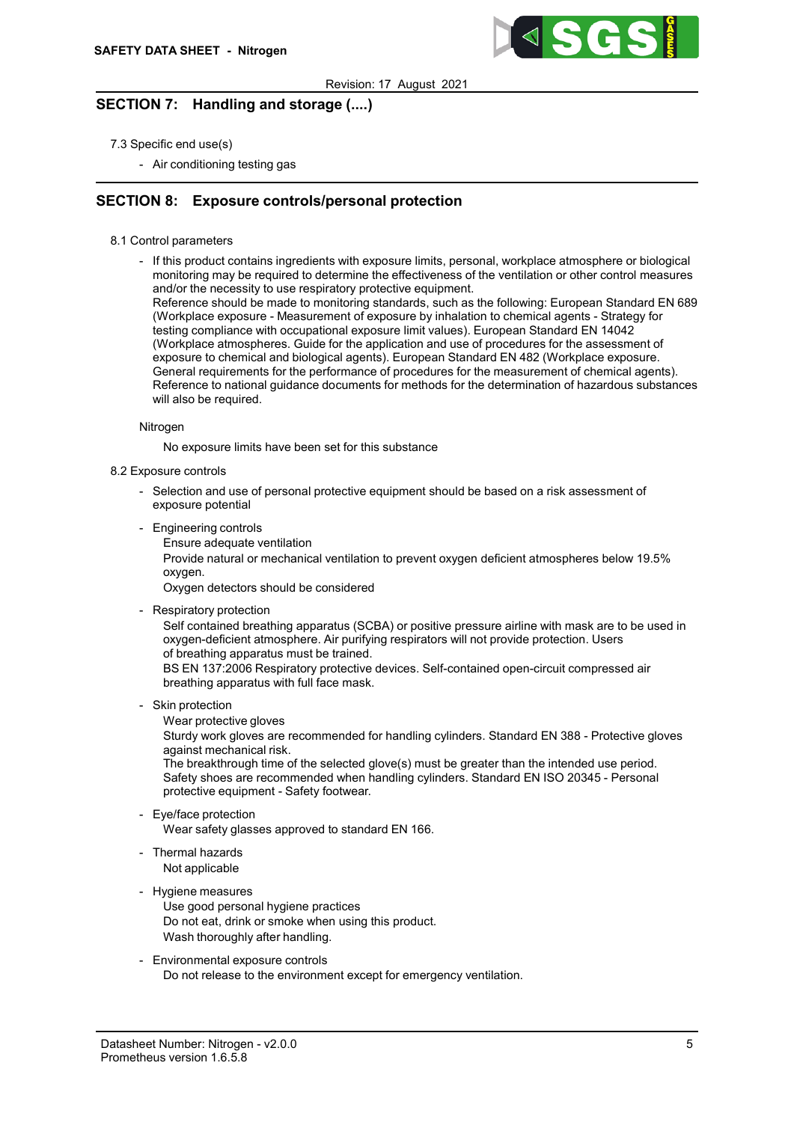

# SECTION 7: Handling and storage (....)

- 7.3 Specific end use(s)
	- Air conditioning testing gas

## SECTION 8: Exposure controls/personal protection

- 8.1 Control parameters
	- If this product contains ingredients with exposure limits, personal, workplace atmosphere or biological monitoring may be required to determine the effectiveness of the ventilation or other control measures and/or the necessity to use respiratory protective equipment.

Reference should be made to monitoring standards, such as the following: European Standard EN 689 (Workplace exposure - Measurement of exposure by inhalation to chemical agents - Strategy for testing compliance with occupational exposure limit values). European Standard EN 14042 (Workplace atmospheres. Guide for the application and use of procedures for the assessment of exposure to chemical and biological agents). European Standard EN 482 (Workplace exposure. General requirements for the performance of procedures for the measurement of chemical agents). Reference to national guidance documents for methods for the determination of hazardous substances will also be required.

### **Nitrogen**

No exposure limits have been set for this substance

### 8.2 Exposure controls

- Selection and use of personal protective equipment should be based on a risk assessment of exposure potential
- Engineering controls
	- Ensure adequate ventilation

Provide natural or mechanical ventilation to prevent oxygen deficient atmospheres below 19.5% oxygen.

Oxygen detectors should be considered

- Respiratory protection

Self contained breathing apparatus (SCBA) or positive pressure airline with mask are to be used in oxygen-deficient atmosphere. Air purifying respirators will not provide protection. Users of breathing apparatus must be trained.

BS EN 137:2006 Respiratory protective devices. Self-contained open-circuit compressed air breathing apparatus with full face mask.

- Skin protection
	- Wear protective gloves

Sturdy work gloves are recommended for handling cylinders. Standard EN 388 - Protective gloves against mechanical risk.

The breakthrough time of the selected glove(s) must be greater than the intended use period. Safety shoes are recommended when handling cylinders. Standard EN ISO 20345 - Personal protective equipment - Safety footwear.

- Eye/face protection

Wear safety glasses approved to standard EN 166.

- Thermal hazards Not applicable

### - Hygiene measures

- Use good personal hygiene practices Do not eat, drink or smoke when using this product. Wash thoroughly after handling.
- Environmental exposure controls Do not release to the environment except for emergency ventilation.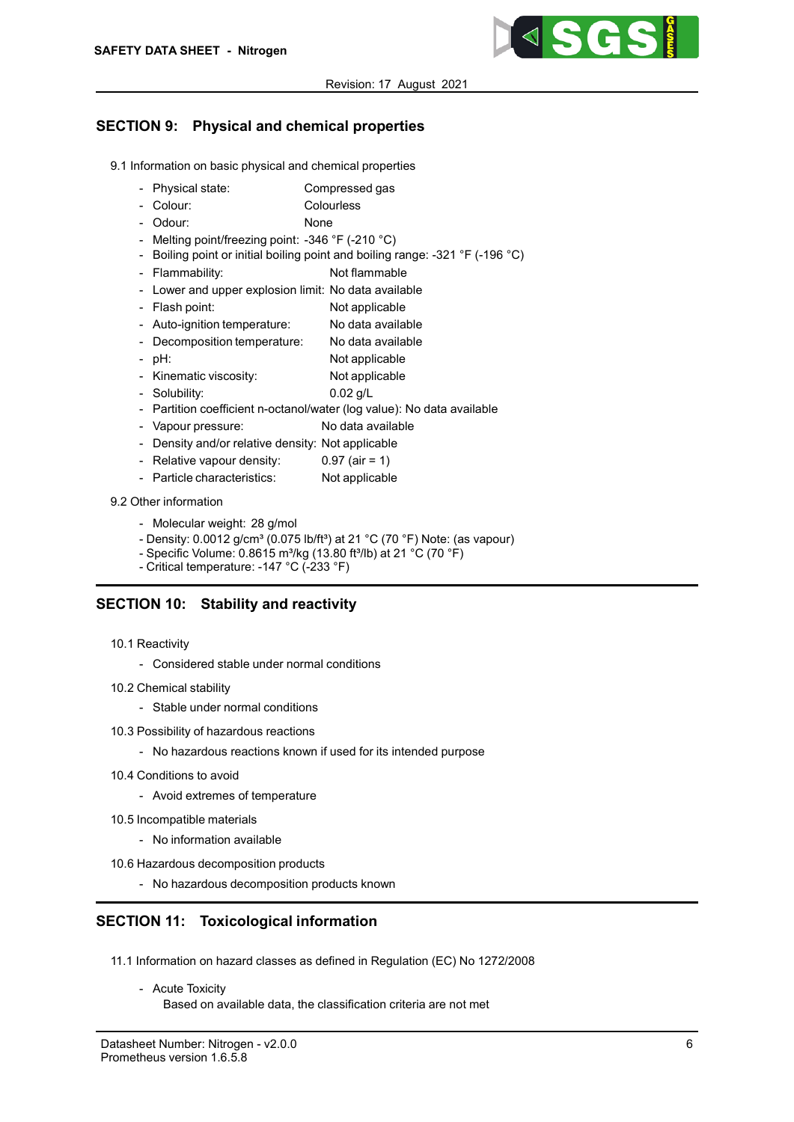

# SECTION 9: Physical and chemical properties

- 9.1 Information on basic physical and chemical properties
	- Physical state: Compressed gas
	- Colour: Colourless
	- Odour: None
	- Melting point/freezing point: -346 °F (-210 °C)
	- Boiling point or initial boiling point and boiling range: -321 °F (-196 °C)
	- Flammability: Not flammable
	- Lower and upper explosion limit: No data available
	- Flash point: Not applicable
	- Auto-ignition temperature: No data available
	- Decomposition temperature: No data available
	- pH: Not applicable
	- Kinematic viscosity: Not applicable
	- Solubility: 0.02 g/L
	- Partition coefficient n-octanol/water (log value): No data available
	- Vapour pressure: No data available
	- Density and/or relative density: Not applicable
	- Relative vapour density: 0.97 (air = 1)
	- Particle characteristics: Not applicable

### 9.2 Other information

- Molecular weight: 28 g/mol
- Density: 0.0012 g/cm<sup>3</sup> (0.075 lb/ft<sup>3</sup>) at 21 °C (70 °F) Note: (as vapour)
- Specific Volume: 0.8615 m<sup>3</sup>/kg (13.80 ft<sup>3</sup>/lb) at 21 °C (70 °F)
- Critical temperature: -147 °C (-233 °F)

### SECTION 10: Stability and reactivity

- 10.1 Reactivity
	- Considered stable under normal conditions
- 10.2 Chemical stability
	- Stable under normal conditions
- 10.3 Possibility of hazardous reactions
	- No hazardous reactions known if used for its intended purpose
- 10.4 Conditions to avoid
	- Avoid extremes of temperature
- 10.5 Incompatible materials
	- No information available
- 10.6 Hazardous decomposition products
	- No hazardous decomposition products known

## SECTION 11: Toxicological information

- 11.1 Information on hazard classes as defined in Regulation (EC) No 1272/2008
	- Acute Toxicity Based on available data, the classification criteria are not met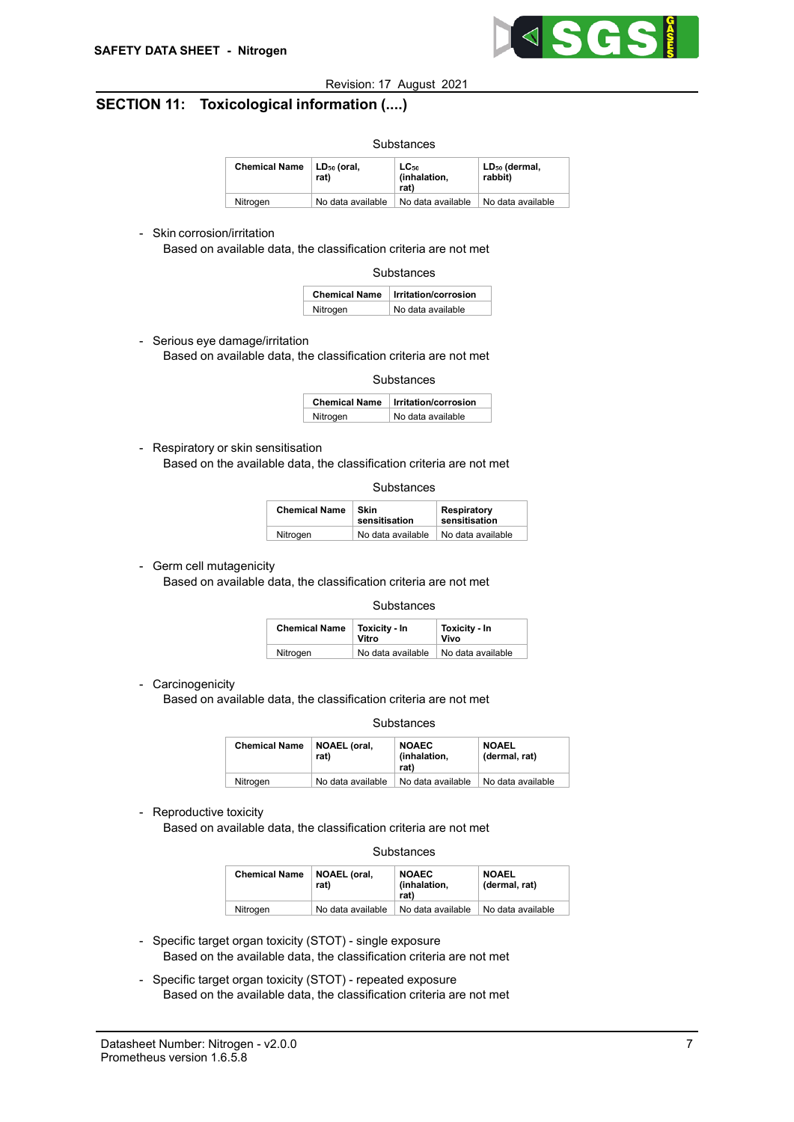

# SECTION 11: Toxicological information (....)

| Substances           |                          |                                   |                                      |
|----------------------|--------------------------|-----------------------------------|--------------------------------------|
| <b>Chemical Name</b> | $LD_{50}$ (oral,<br>rat) | $LC_{50}$<br>(inhalation,<br>rat) | LD <sub>50</sub> (dermal,<br>rabbit) |
| Nitrogen             | No data available        | No data available                 | No data available                    |

### - Skin corrosion/irritation

Based on available data, the classification criteria are not met

Substances

|          | <b>Chemical Name Irritation/corrosion</b> |  |
|----------|-------------------------------------------|--|
| Nitrogen | No data available                         |  |

- Serious eye damage/irritation Based on available data, the classification criteria are not met

Substances

| <b>Chemical Name</b> | Irritation/corrosion |
|----------------------|----------------------|
| Nitrogen             | No data available    |

- Respiratory or skin sensitisation

Based on the available data, the classification criteria are not met

| <b>Chemical Name</b> | Skin<br>sensitisation | Respiratory<br>sensitisation |
|----------------------|-----------------------|------------------------------|
| Nitrogen             | No data available     | No data available            |

- Germ cell mutagenicity

Based on available data, the classification criteria are not met

#### **Substances**

| <b>Chemical Name</b> | Toxicity - In<br>Vitro | Toxicity - In<br>Vivo |
|----------------------|------------------------|-----------------------|
| Nitrogen             | No data available      | No data available     |

- Carcinogenicity

Based on available data, the classification criteria are not met

### Substances

| <b>Chemical Name</b> | NOAEL (oral,<br>rat) | <b>NOAEC</b><br>(inhalation.<br>rat) | <b>NOAEL</b><br>(dermal, rat) |
|----------------------|----------------------|--------------------------------------|-------------------------------|
| Nitrogen             | No data available    | No data available                    | No data available             |

- Reproductive toxicity

Based on available data, the classification criteria are not met

#### **Substances**

| <b>Chemical Name</b> | NOAEL (oral,<br>rat) | <b>NOAEC</b><br>(inhalation,<br>rat) | <b>NOAEL</b><br>(dermal, rat) |
|----------------------|----------------------|--------------------------------------|-------------------------------|
| Nitrogen             | No data available    | No data available                    | No data available             |

- Specific target organ toxicity (STOT) single exposure Based on the available data, the classification criteria are not met
- Specific target organ toxicity (STOT) repeated exposure Based on the available data, the classification criteria are not met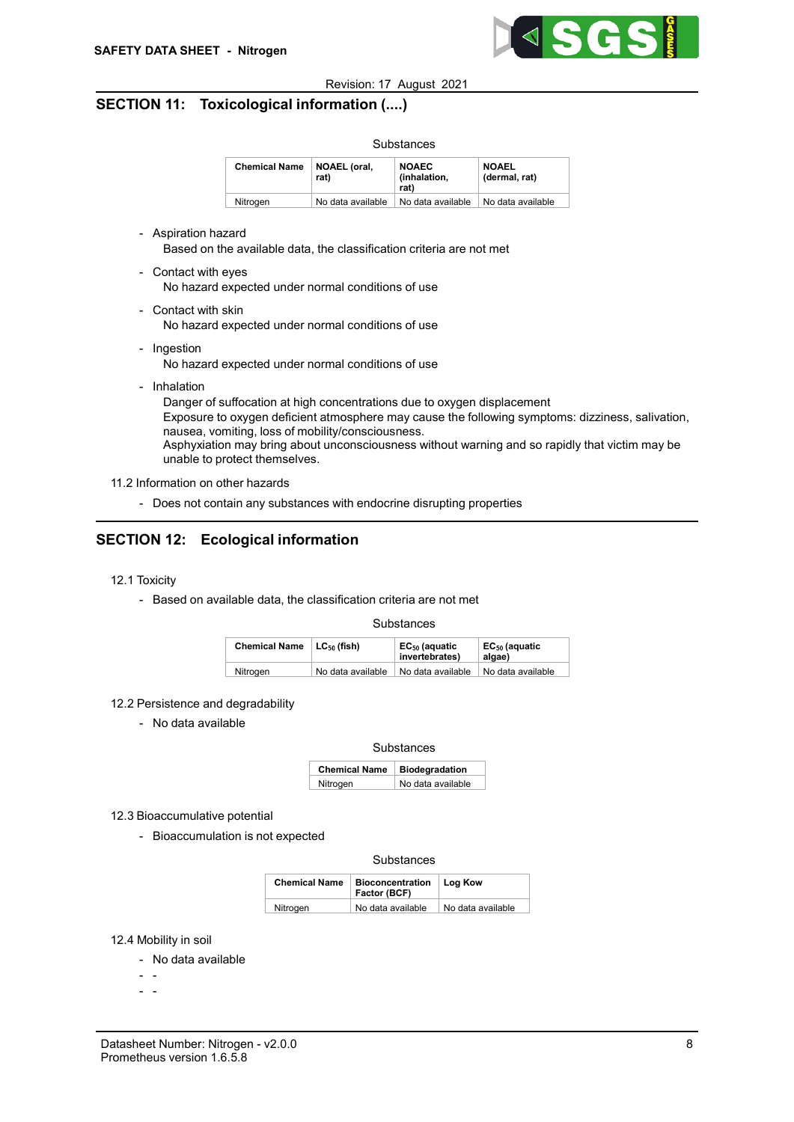

# SECTION 11: Toxicological information (....)

| Substances           |                      |                                      |                               |
|----------------------|----------------------|--------------------------------------|-------------------------------|
| <b>Chemical Name</b> | NOAEL (oral,<br>rat) | <b>NOAEC</b><br>(inhalation,<br>rat) | <b>NOAEL</b><br>(dermal, rat) |
| Nitrogen             | No data available    | No data available                    | No data available             |

- Aspiration hazard

Based on the available data, the classification criteria are not met

- Contact with eyes

No hazard expected under normal conditions of use

- Contact with skin

No hazard expected under normal conditions of use

- Ingestion No hazard expected under normal conditions of use
- Inhalation

Danger of suffocation at high concentrations due to oxygen displacement Exposure to oxygen deficient atmosphere may cause the following symptoms: dizziness, salivation, nausea, vomiting, loss of mobility/consciousness. Asphyxiation may bring about unconsciousness without warning and so rapidly that victim may be unable to protect themselves.

### 11.2 Information on other hazards

- Does not contain any substances with endocrine disrupting properties

## SECTION 12: Ecological information

- 12.1 Toxicity
	- Based on available data, the classification criteria are not met

#### **Substances**

| <b>Chemical Name</b> | LC <sub>50</sub> (fish) | EC <sub>50</sub> (aquatic<br>invertebrates) | EC <sub>50</sub> (aquatic<br>algae) |
|----------------------|-------------------------|---------------------------------------------|-------------------------------------|
| Nitrogen             | No data available       | No data available                           | No data available                   |

### 12.2 Persistence and degradability

- No data available

#### **Substances**

| Chemical Name   Biodegradation |                   |
|--------------------------------|-------------------|
| Nitrogen                       | No data available |

- 12.3 Bioaccumulative potential
	- Bioaccumulation is not expected

#### **Substances**

| <b>Chemical Name</b> | <b>Bioconcentration</b><br>Factor (BCF) | Log Kow           |
|----------------------|-----------------------------------------|-------------------|
| Nitrogen             | No data available                       | No data available |

### 12.4 Mobility in soil

- No data available
- - - -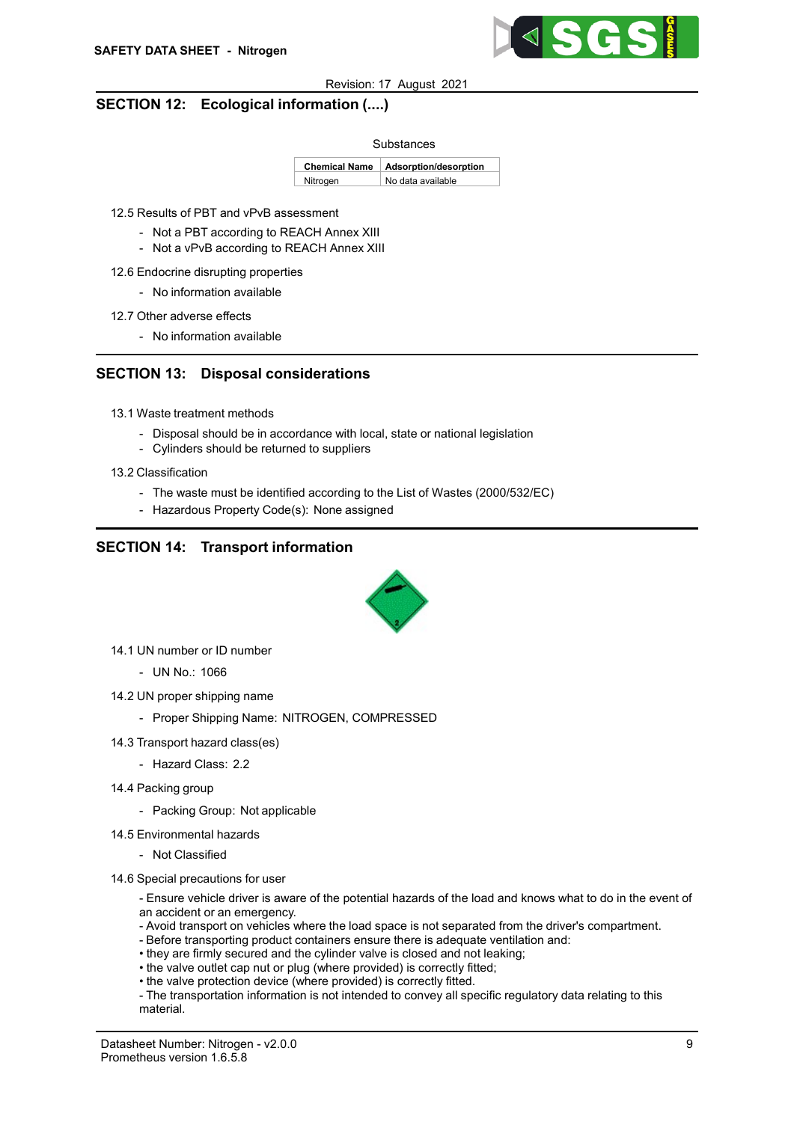

# SECTION 12: Ecological information (....)

#### Substances

Chemical Name | Adsorption/desorption Nitrogen No data available

12.5 Results of PBT and vPvB assessment

- Not a PBT according to REACH Annex XIII
- Not a vPvB according to REACH Annex XIII
- 12.6 Endocrine disrupting properties
	- No information available
- 12.7 Other adverse effects
	- No information available

## SECTION 13: Disposal considerations

- 13.1 Waste treatment methods
	- Disposal should be in accordance with local, state or national legislation
	- Cylinders should be returned to suppliers
- 13.2 Classification
	- The waste must be identified according to the List of Wastes (2000/532/EC)
	- Hazardous Property Code(s): None assigned

# SECTION 14: Transport information



- 14.1 UN number or ID number
	- UN No.: 1066
- 14.2 UN proper shipping name
	- Proper Shipping Name: NITROGEN, COMPRESSED
- 14.3 Transport hazard class(es)
	- Hazard Class: 2.2
- 14.4 Packing group
	- Packing Group: Not applicable
- 14.5 Environmental hazards
	- Not Classified
- 14.6 Special precautions for user

- Ensure vehicle driver is aware of the potential hazards of the load and knows what to do in the event of an accident or an emergency.

- Avoid transport on vehicles where the load space is not separated from the driver's compartment.
- Before transporting product containers ensure there is adequate ventilation and:
- they are firmly secured and the cylinder valve is closed and not leaking;
- the valve outlet cap nut or plug (where provided) is correctly fitted;
- the valve protection device (where provided) is correctly fitted.

- The transportation information is not intended to convey all specific regulatory data relating to this material.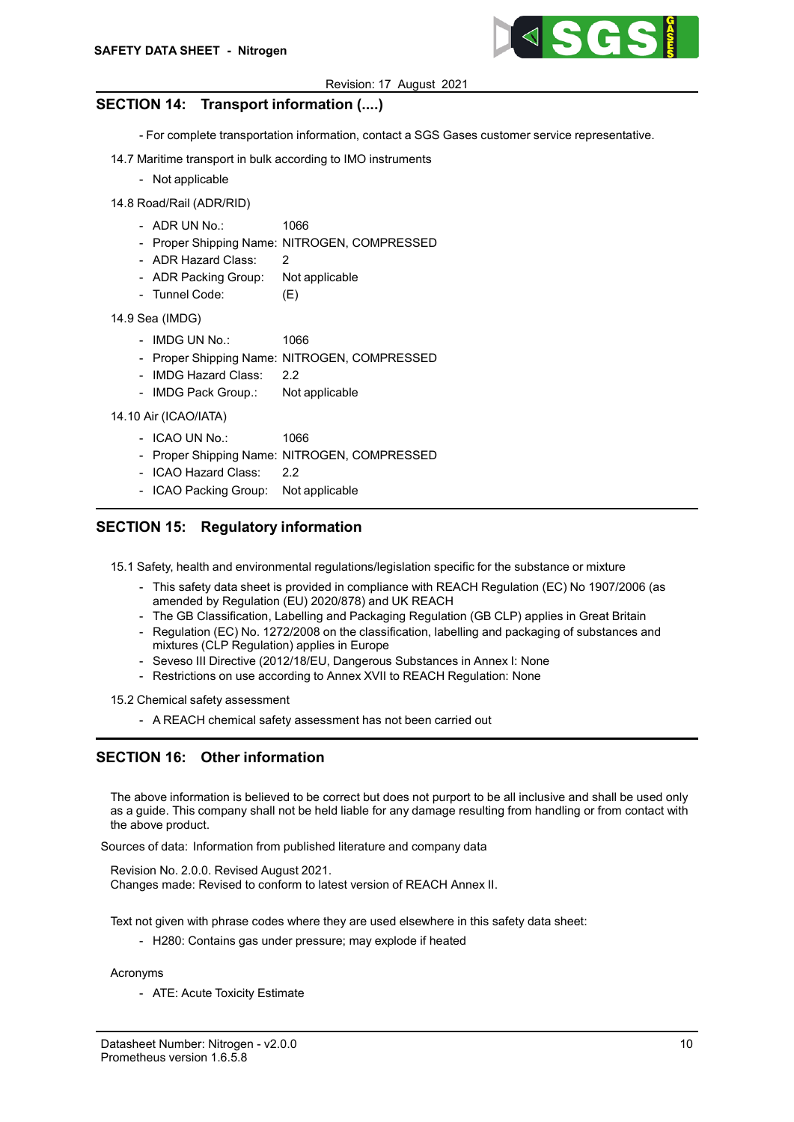

## SECTION 14: Transport information (....)

- For complete transportation information, contact a SGS Gases customer service representative.
- 14.7 Maritime transport in bulk according to IMO instruments
	- Not applicable
- 14.8 Road/Rail (ADR/RID)
	- ADR UN No.: 1066
	- Proper Shipping Name: NITROGEN, COMPRESSED
	- ADR Hazard Class: 2
	- ADR Packing Group: Not applicable
	- Tunnel Code: (E)
- 14.9 Sea (IMDG)
	- IMDG UN No.: 1066
	- Proper Shipping Name: NITROGEN, COMPRESSED
	- IMDG Hazard Class: 2.2
	- IMDG Pack Group.: Not applicable

14.10 Air (ICAO/IATA)

- ICAO UN No.: 1066
- Proper Shipping Name: NITROGEN, COMPRESSED
- ICAO Hazard Class: 2.2
- ICAO Packing Group: Not applicable

# SECTION 15: Regulatory information

15.1 Safety, health and environmental regulations/legislation specific for the substance or mixture

- This safety data sheet is provided in compliance with REACH Regulation (EC) No 1907/2006 (as amended by Regulation (EU) 2020/878) and UK REACH
- The GB Classification, Labelling and Packaging Regulation (GB CLP) applies in Great Britain
- Regulation (EC) No. 1272/2008 on the classification, labelling and packaging of substances and mixtures (CLP Regulation) applies in Europe
- Seveso III Directive (2012/18/EU, Dangerous Substances in Annex I: None
- Restrictions on use according to Annex XVII to REACH Regulation: None

15.2 Chemical safety assessment

- A REACH chemical safety assessment has not been carried out

# SECTION 16: Other information

The above information is believed to be correct but does not purport to be all inclusive and shall be used only as a guide. This company shall not be held liable for any damage resulting from handling or from contact with the above product.

Sources of data: Information from published literature and company data

Revision No. 2.0.0. Revised August 2021. Changes made: Revised to conform to latest version of REACH Annex II.

Text not given with phrase codes where they are used elsewhere in this safety data sheet:

- H280: Contains gas under pressure; may explode if heated

### Acronyms

- ATE: Acute Toxicity Estimate